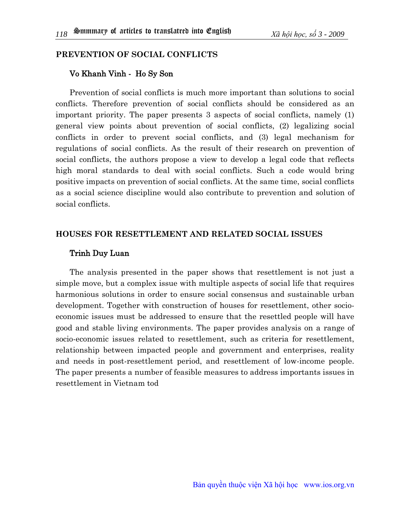## **Prevention Of Social Conflicts**

## Vo Khanh Vinh - Ho Sy Son

Prevention of social conflicts is much more important than solutions to social conflicts. Therefore prevention of social conflicts should be considered as an important priority. The paper presents 3 aspects of social conflicts, namely (1) general view points about prevention of social conflicts, (2) legalizing social conflicts in order to prevent social conflicts, and (3) legal mechanism for regulations of social conflicts. As the result of their research on prevention of social conflicts, the authors propose a view to develop a legal code that reflects high moral standards to deal with social conflicts. Such a code would bring positive impacts on prevention of social conflicts. At the same time, social conflicts as a social science discipline would also contribute to prevention and solution of social conflicts.

## **Houses For Resettlement And Related Social Issues**

## Trinh Duy Luan

The analysis presented in the paper shows that resettlement is not just a simple move, but a complex issue with multiple aspects of social life that requires harmonious solutions in order to ensure social consensus and sustainable urban development. Together with construction of houses for resettlement, other socioeconomic issues must be addressed to ensure that the resettled people will have good and stable living environments. The paper provides analysis on a range of socio-economic issues related to resettlement, such as criteria for resettlement, relationship between impacted people and government and enterprises, reality and needs in post-resettlement period, and resettlement of low-income people. The paper presents a number of feasible measures to address importants issues in resettlement in Vietnam tod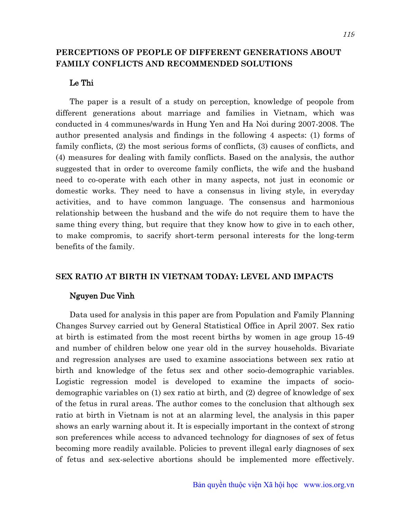## **Perceptions Of People Of Different Generations About Family Conflicts And Recommended Solutions**

### Le Thi

The paper is a result of a study on perception, knowledge of peopole from different generations about marriage and families in Vietnam, which was conducted in 4 communes/wards in Hung Yen and Ha Noi during 2007-2008. The author presented analysis and findings in the following 4 aspects: (1) forms of family conflicts, (2) the most serious forms of conflicts, (3) causes of conflicts, and (4) measures for dealing with family conflicts. Based on the analysis, the author suggested that in order to overcome family conflicts, the wife and the husband need to co-operate with each other in many aspects, not just in economic or domestic works. They need to have a consensus in living style, in everyday activities, and to have common language. The consensus and harmonious relationship between the husband and the wife do not require them to have the same thing every thing, but require that they know how to give in to each other, to make compromis, to sacrify short-term personal interests for the long-term benefits of the family.

## **Sex Ratio At Birth In Vietnam Today: Level And Impacts**

#### Nguyen Duc Vinh

Data used for analysis in this paper are from Population and Family Planning Changes Survey carried out by General Statistical Office in April 2007. Sex ratio at birth is estimated from the most recent births by women in age group 15-49 and number of children below one year old in the survey households. Bivariate and regression analyses are used to examine associations between sex ratio at birth and knowledge of the fetus sex and other socio-demographic variables. Logistic regression model is developed to examine the impacts of sociodemographic variables on (1) sex ratio at birth, and (2) degree of knowledge of sex of the fetus in rural areas. The author comes to the conclusion that although sex ratio at birth in Vietnam is not at an alarming level, the analysis in this paper shows an early warning about it. It is especially important in the context of strong son preferences while access to advanced technology for diagnoses of sex of fetus becoming more readily available. Policies to prevent illegal early diagnoses of sex of fetus and sex-selective abortions should be implemented more effectively.